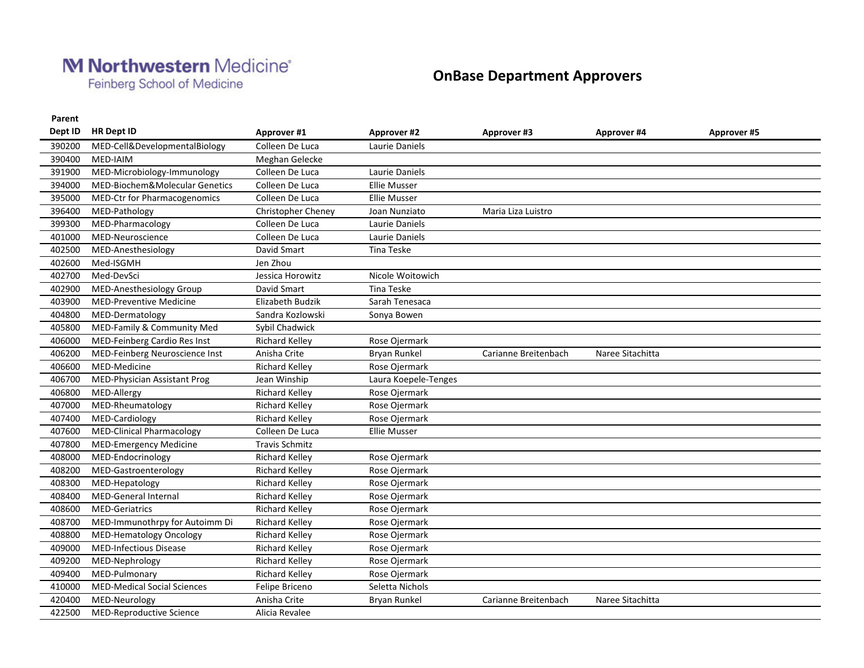## M Northwestern Medicine®

Feinberg School of Medicine

## **OnBase Department Approvers**

**Parent**

| Dept ID | <b>HR Dept ID</b>                  | Approver #1               | <b>Approver #2</b>   | <b>Approver #3</b>   | <b>Approver #4</b> | Approver #5 |  |
|---------|------------------------------------|---------------------------|----------------------|----------------------|--------------------|-------------|--|
| 390200  | MED-Cell&DevelopmentalBiology      | Colleen De Luca           | Laurie Daniels       |                      |                    |             |  |
| 390400  | MED-IAIM                           | Meghan Gelecke            |                      |                      |                    |             |  |
| 391900  | MED-Microbiology-Immunology        | Colleen De Luca           | Laurie Daniels       |                      |                    |             |  |
| 394000  | MED-Biochem&Molecular Genetics     | Colleen De Luca           | <b>Ellie Musser</b>  |                      |                    |             |  |
| 395000  | MED-Ctr for Pharmacogenomics       | Colleen De Luca           | <b>Ellie Musser</b>  |                      |                    |             |  |
| 396400  | MED-Pathology                      | <b>Christopher Cheney</b> | Joan Nunziato        | Maria Liza Luistro   |                    |             |  |
| 399300  | MED-Pharmacology                   | Colleen De Luca           | Laurie Daniels       |                      |                    |             |  |
| 401000  | MED-Neuroscience                   | Colleen De Luca           | Laurie Daniels       |                      |                    |             |  |
| 402500  | MED-Anesthesiology                 | David Smart               | Tina Teske           |                      |                    |             |  |
| 402600  | Med-ISGMH                          | Jen Zhou                  |                      |                      |                    |             |  |
| 402700  | Med-DevSci                         | Jessica Horowitz          | Nicole Woitowich     |                      |                    |             |  |
| 402900  | MED-Anesthesiology Group           | David Smart               | Tina Teske           |                      |                    |             |  |
| 403900  | <b>MED-Preventive Medicine</b>     | <b>Elizabeth Budzik</b>   | Sarah Tenesaca       |                      |                    |             |  |
| 404800  | MED-Dermatology                    | Sandra Kozlowski          | Sonya Bowen          |                      |                    |             |  |
| 405800  | MED-Family & Community Med         | Sybil Chadwick            |                      |                      |                    |             |  |
| 406000  | MED-Feinberg Cardio Res Inst       | <b>Richard Kelley</b>     | Rose Ojermark        |                      |                    |             |  |
| 406200  | MED-Feinberg Neuroscience Inst     | Anisha Crite              | <b>Bryan Runkel</b>  | Carianne Breitenbach | Naree Sitachitta   |             |  |
| 406600  | MED-Medicine                       | <b>Richard Kelley</b>     | Rose Ojermark        |                      |                    |             |  |
| 406700  | MED-Physician Assistant Prog       | Jean Winship              | Laura Koepele-Tenges |                      |                    |             |  |
| 406800  | MED-Allergy                        | <b>Richard Kelley</b>     | Rose Ojermark        |                      |                    |             |  |
| 407000  | MED-Rheumatology                   | <b>Richard Kelley</b>     | Rose Ojermark        |                      |                    |             |  |
| 407400  | MED-Cardiology                     | Richard Kelley            | Rose Ojermark        |                      |                    |             |  |
| 407600  | <b>MED-Clinical Pharmacology</b>   | Colleen De Luca           | <b>Ellie Musser</b>  |                      |                    |             |  |
| 407800  | <b>MED-Emergency Medicine</b>      | <b>Travis Schmitz</b>     |                      |                      |                    |             |  |
| 408000  | MED-Endocrinology                  | Richard Kelley            | Rose Ojermark        |                      |                    |             |  |
| 408200  | MED-Gastroenterology               | Richard Kelley            | Rose Ojermark        |                      |                    |             |  |
| 408300  | MED-Hepatology                     | Richard Kelley            | Rose Ojermark        |                      |                    |             |  |
| 408400  | MED-General Internal               | <b>Richard Kelley</b>     | Rose Ojermark        |                      |                    |             |  |
| 408600  | <b>MED-Geriatrics</b>              | <b>Richard Kelley</b>     | Rose Ojermark        |                      |                    |             |  |
| 408700  | MED-Immunothrpy for Autoimm Di     | Richard Kelley            | Rose Ojermark        |                      |                    |             |  |
| 408800  | <b>MED-Hematology Oncology</b>     | Richard Kelley            | Rose Ojermark        |                      |                    |             |  |
| 409000  | <b>MED-Infectious Disease</b>      | Richard Kelley            | Rose Ojermark        |                      |                    |             |  |
| 409200  | MED-Nephrology                     | <b>Richard Kelley</b>     | Rose Ojermark        |                      |                    |             |  |
| 409400  | MED-Pulmonary                      | Richard Kelley            | Rose Ojermark        |                      |                    |             |  |
| 410000  | <b>MED-Medical Social Sciences</b> | Felipe Briceno            | Seletta Nichols      |                      |                    |             |  |
| 420400  | MED-Neurology                      | Anisha Crite              | <b>Bryan Runkel</b>  | Carianne Breitenbach | Naree Sitachitta   |             |  |
| 422500  | MED-Reproductive Science           | Alicia Revalee            |                      |                      |                    |             |  |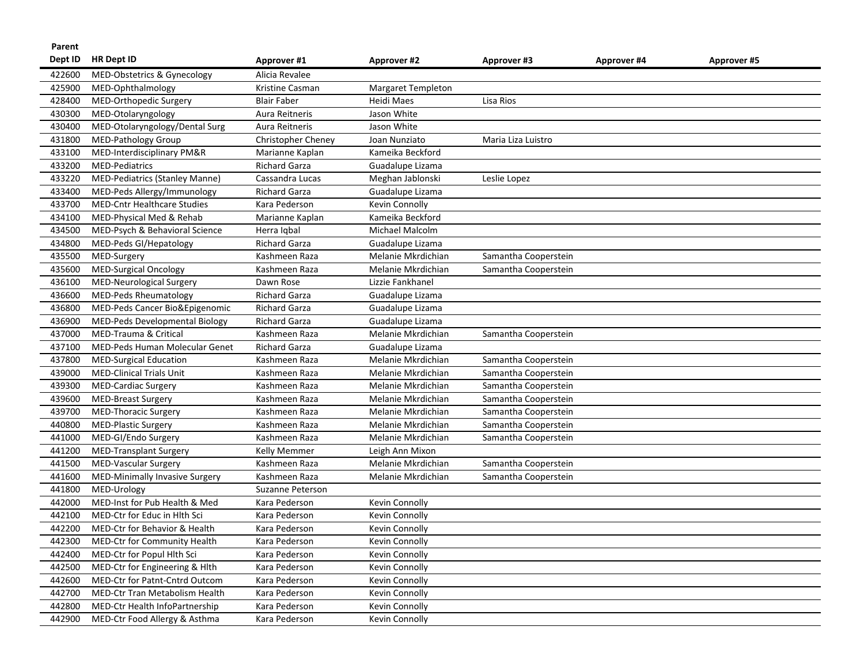| Parent  |                                       |                      |                           |                      |             |                    |
|---------|---------------------------------------|----------------------|---------------------------|----------------------|-------------|--------------------|
| Dept ID | <b>HR Dept ID</b>                     | Approver #1          | <b>Approver #2</b>        | <b>Approver #3</b>   | Approver #4 | <b>Approver #5</b> |
| 422600  | MED-Obstetrics & Gynecology           | Alicia Revalee       |                           |                      |             |                    |
| 425900  | MED-Ophthalmology                     | Kristine Casman      | <b>Margaret Templeton</b> |                      |             |                    |
| 428400  | MED-Orthopedic Surgery                | <b>Blair Faber</b>   | Heidi Maes                | Lisa Rios            |             |                    |
| 430300  | MED-Otolaryngology                    | Aura Reitneris       | Jason White               |                      |             |                    |
| 430400  | MED-Otolaryngology/Dental Surg        | Aura Reitneris       | Jason White               |                      |             |                    |
| 431800  | <b>MED-Pathology Group</b>            | Christopher Cheney   | Joan Nunziato             | Maria Liza Luistro   |             |                    |
| 433100  | MED-Interdisciplinary PM&R            | Marianne Kaplan      | Kameika Beckford          |                      |             |                    |
| 433200  | <b>MED-Pediatrics</b>                 | <b>Richard Garza</b> | Guadalupe Lizama          |                      |             |                    |
| 433220  | <b>MED-Pediatrics (Stanley Manne)</b> | Cassandra Lucas      | Meghan Jablonski          | Leslie Lopez         |             |                    |
| 433400  | MED-Peds Allergy/Immunology           | <b>Richard Garza</b> | Guadalupe Lizama          |                      |             |                    |
| 433700  | <b>MED-Cntr Healthcare Studies</b>    | Kara Pederson        | <b>Kevin Connolly</b>     |                      |             |                    |
| 434100  | MED-Physical Med & Rehab              | Marianne Kaplan      | Kameika Beckford          |                      |             |                    |
| 434500  | MED-Psych & Behavioral Science        | Herra Iqbal          | Michael Malcolm           |                      |             |                    |
| 434800  | MED-Peds GI/Hepatology                | <b>Richard Garza</b> | Guadalupe Lizama          |                      |             |                    |
| 435500  | MED-Surgery                           | Kashmeen Raza        | Melanie Mkrdichian        | Samantha Cooperstein |             |                    |
| 435600  | <b>MED-Surgical Oncology</b>          | Kashmeen Raza        | Melanie Mkrdichian        | Samantha Cooperstein |             |                    |
| 436100  | <b>MED-Neurological Surgery</b>       | Dawn Rose            | Lizzie Fankhanel          |                      |             |                    |
| 436600  | <b>MED-Peds Rheumatology</b>          | Richard Garza        | Guadalupe Lizama          |                      |             |                    |
| 436800  | MED-Peds Cancer Bio&Epigenomic        | <b>Richard Garza</b> | Guadalupe Lizama          |                      |             |                    |
| 436900  | MED-Peds Developmental Biology        | Richard Garza        | Guadalupe Lizama          |                      |             |                    |
| 437000  | MED-Trauma & Critical                 | Kashmeen Raza        | Melanie Mkrdichian        | Samantha Cooperstein |             |                    |
| 437100  | MED-Peds Human Molecular Genet        | <b>Richard Garza</b> | Guadalupe Lizama          |                      |             |                    |
| 437800  | <b>MED-Surgical Education</b>         | Kashmeen Raza        | Melanie Mkrdichian        | Samantha Cooperstein |             |                    |
| 439000  | <b>MED-Clinical Trials Unit</b>       | Kashmeen Raza        | Melanie Mkrdichian        | Samantha Cooperstein |             |                    |
| 439300  | MED-Cardiac Surgery                   | Kashmeen Raza        | Melanie Mkrdichian        | Samantha Cooperstein |             |                    |
| 439600  | <b>MED-Breast Surgery</b>             | Kashmeen Raza        | Melanie Mkrdichian        | Samantha Cooperstein |             |                    |
| 439700  | <b>MED-Thoracic Surgery</b>           | Kashmeen Raza        | Melanie Mkrdichian        | Samantha Cooperstein |             |                    |
| 440800  | MED-Plastic Surgery                   | Kashmeen Raza        | Melanie Mkrdichian        | Samantha Cooperstein |             |                    |
| 441000  | MED-GI/Endo Surgery                   | Kashmeen Raza        | Melanie Mkrdichian        | Samantha Cooperstein |             |                    |
| 441200  | <b>MED-Transplant Surgery</b>         | Kelly Memmer         | Leigh Ann Mixon           |                      |             |                    |
| 441500  | MED-Vascular Surgery                  | Kashmeen Raza        | Melanie Mkrdichian        | Samantha Cooperstein |             |                    |
| 441600  | MED-Minimally Invasive Surgery        | Kashmeen Raza        | Melanie Mkrdichian        | Samantha Cooperstein |             |                    |
| 441800  | MED-Urology                           | Suzanne Peterson     |                           |                      |             |                    |
| 442000  | MED-Inst for Pub Health & Med         | Kara Pederson        | Kevin Connolly            |                      |             |                    |
| 442100  | MED-Ctr for Educ in Hlth Sci          | Kara Pederson        | Kevin Connolly            |                      |             |                    |
| 442200  | MED-Ctr for Behavior & Health         | Kara Pederson        | Kevin Connolly            |                      |             |                    |
| 442300  | MED-Ctr for Community Health          | Kara Pederson        | Kevin Connolly            |                      |             |                    |
| 442400  | MED-Ctr for Popul Hlth Sci            | Kara Pederson        | Kevin Connolly            |                      |             |                    |
| 442500  | MED-Ctr for Engineering & Hlth        | Kara Pederson        | Kevin Connolly            |                      |             |                    |
| 442600  | MED-Ctr for Patnt-Cntrd Outcom        | Kara Pederson        | Kevin Connolly            |                      |             |                    |
| 442700  | MED-Ctr Tran Metabolism Health        | Kara Pederson        | Kevin Connolly            |                      |             |                    |
| 442800  | MED-Ctr Health InfoPartnership        | Kara Pederson        | Kevin Connolly            |                      |             |                    |
| 442900  | MED-Ctr Food Allergy & Asthma         | Kara Pederson        | Kevin Connolly            |                      |             |                    |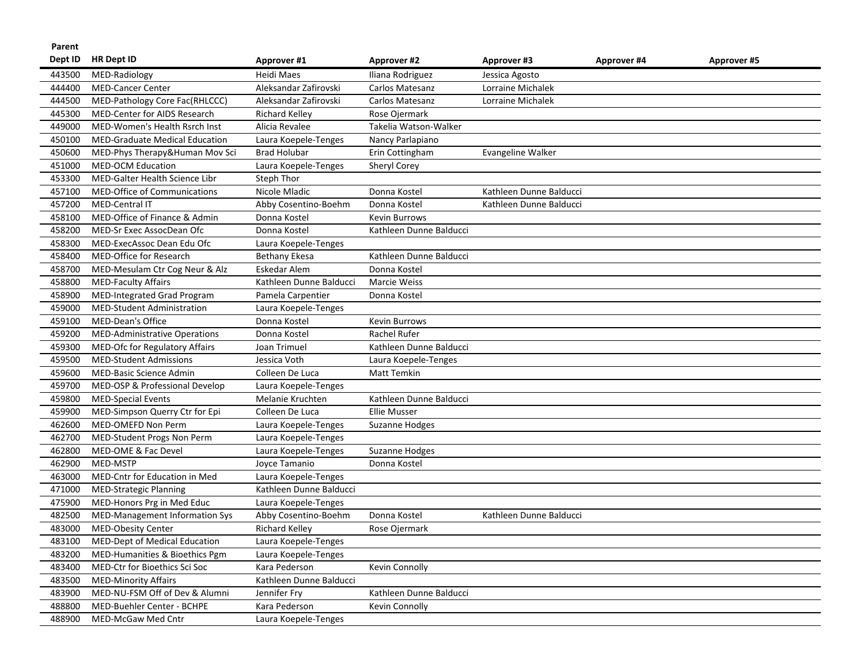| Parent  |                                       |                         |                         |                         |             |                    |
|---------|---------------------------------------|-------------------------|-------------------------|-------------------------|-------------|--------------------|
| Dept ID | <b>HR Dept ID</b>                     | Approver #1             | Approver #2             | Approver #3             | Approver #4 | <b>Approver #5</b> |
| 443500  | MED-Radiology                         | Heidi Maes              | Iliana Rodriguez        | Jessica Agosto          |             |                    |
| 444400  | <b>MED-Cancer Center</b>              | Aleksandar Zafirovski   | Carlos Matesanz         | Lorraine Michalek       |             |                    |
| 444500  | MED-Pathology Core Fac(RHLCCC)        | Aleksandar Zafirovski   | Carlos Matesanz         | Lorraine Michalek       |             |                    |
| 445300  | MED-Center for AIDS Research          | Richard Kelley          | Rose Ojermark           |                         |             |                    |
| 449000  | MED-Women's Health Rsrch Inst         | Alicia Revalee          | Takelia Watson-Walker   |                         |             |                    |
| 450100  | <b>MED-Graduate Medical Education</b> | Laura Koepele-Tenges    | Nancy Parlapiano        |                         |             |                    |
| 450600  | MED-Phys Therapy&Human Mov Sci        | <b>Brad Holubar</b>     | Erin Cottingham         | Evangeline Walker       |             |                    |
| 451000  | <b>MED-OCM Education</b>              | Laura Koepele-Tenges    | <b>Sheryl Corey</b>     |                         |             |                    |
| 453300  | MED-Galter Health Science Libr        | Steph Thor              |                         |                         |             |                    |
| 457100  | <b>MED-Office of Communications</b>   | Nicole Mladic           | Donna Kostel            | Kathleen Dunne Balducci |             |                    |
| 457200  | <b>MED-Central IT</b>                 | Abby Cosentino-Boehm    | Donna Kostel            | Kathleen Dunne Balducci |             |                    |
| 458100  | MED-Office of Finance & Admin         | Donna Kostel            | <b>Kevin Burrows</b>    |                         |             |                    |
| 458200  | MED-Sr Exec AssocDean Ofc             | Donna Kostel            | Kathleen Dunne Balducci |                         |             |                    |
| 458300  | MED-ExecAssoc Dean Edu Ofc            | Laura Koepele-Tenges    |                         |                         |             |                    |
| 458400  | MED-Office for Research               | <b>Bethany Ekesa</b>    | Kathleen Dunne Balducci |                         |             |                    |
| 458700  | MED-Mesulam Ctr Cog Neur & Alz        | Eskedar Alem            | Donna Kostel            |                         |             |                    |
| 458800  | <b>MED-Faculty Affairs</b>            | Kathleen Dunne Balducci | <b>Marcie Weiss</b>     |                         |             |                    |
| 458900  | MED-Integrated Grad Program           | Pamela Carpentier       | Donna Kostel            |                         |             |                    |
| 459000  | MED-Student Administration            | Laura Koepele-Tenges    |                         |                         |             |                    |
| 459100  | MED-Dean's Office                     | Donna Kostel            | <b>Kevin Burrows</b>    |                         |             |                    |
| 459200  | <b>MED-Administrative Operations</b>  | Donna Kostel            | Rachel Rufer            |                         |             |                    |
| 459300  | MED-Ofc for Regulatory Affairs        | Joan Trimuel            | Kathleen Dunne Balducci |                         |             |                    |
| 459500  | <b>MED-Student Admissions</b>         | Jessica Voth            | Laura Koepele-Tenges    |                         |             |                    |
| 459600  | <b>MED-Basic Science Admin</b>        | Colleen De Luca         | Matt Temkin             |                         |             |                    |
| 459700  | MED-OSP & Professional Develop        | Laura Koepele-Tenges    |                         |                         |             |                    |
| 459800  | <b>MED-Special Events</b>             | Melanie Kruchten        | Kathleen Dunne Balducci |                         |             |                    |
| 459900  | MED-Simpson Querry Ctr for Epi        | Colleen De Luca         | <b>Ellie Musser</b>     |                         |             |                    |
| 462600  | MED-OMEFD Non Perm                    | Laura Koepele-Tenges    | Suzanne Hodges          |                         |             |                    |
| 462700  | MED-Student Progs Non Perm            | Laura Koepele-Tenges    |                         |                         |             |                    |
| 462800  | MED-OME & Fac Devel                   | Laura Koepele-Tenges    | Suzanne Hodges          |                         |             |                    |
| 462900  | MED-MSTP                              | Joyce Tamanio           | Donna Kostel            |                         |             |                    |
| 463000  | MED-Cntr for Education in Med         | Laura Koepele-Tenges    |                         |                         |             |                    |
| 471000  | <b>MED-Strategic Planning</b>         | Kathleen Dunne Balducci |                         |                         |             |                    |
| 475900  | MED-Honors Prg in Med Educ            | Laura Koepele-Tenges    |                         |                         |             |                    |
| 482500  | MED-Management Information Sys        | Abby Cosentino-Boehm    | Donna Kostel            | Kathleen Dunne Balducci |             |                    |
| 483000  | <b>MED-Obesity Center</b>             | Richard Kelley          | Rose Ojermark           |                         |             |                    |
| 483100  | MED-Dept of Medical Education         | Laura Koepele-Tenges    |                         |                         |             |                    |
| 483200  | MED-Humanities & Bioethics Pgm        | Laura Koepele-Tenges    |                         |                         |             |                    |
| 483400  | MED-Ctr for Bioethics Sci Soc         | Kara Pederson           | Kevin Connolly          |                         |             |                    |
| 483500  | <b>MED-Minority Affairs</b>           | Kathleen Dunne Balducci |                         |                         |             |                    |
| 483900  | MED-NU-FSM Off of Dev & Alumni        | Jennifer Fry            | Kathleen Dunne Balducci |                         |             |                    |
| 488800  | MED-Buehler Center - BCHPE            | Kara Pederson           | Kevin Connolly          |                         |             |                    |
| 488900  | MED-McGaw Med Cntr                    | Laura Koepele-Tenges    |                         |                         |             |                    |